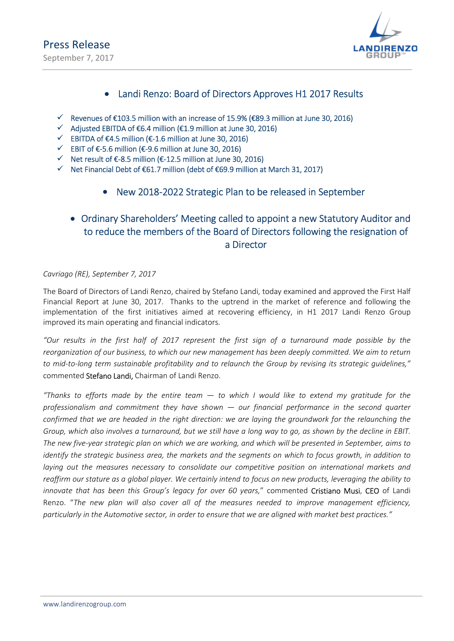

## • Landi Renzo: Board of Directors Approves H1 2017 Results

- $\checkmark$  Revenues of €103.5 million with an increase of 15.9% (€89.3 million at June 30, 2016)
- $\checkmark$  Adjusted EBITDA of €6.4 million (€1.9 million at June 30, 2016)
- $\checkmark$  EBITDA of €4.5 million (€-1.6 million at June 30, 2016)
- $\checkmark$  EBIT of €-5.6 million (€-9.6 million at June 30, 2016)
- $\checkmark$  Net result of  $\epsilon$ -8.5 million ( $\epsilon$ -12.5 million at June 30, 2016)
- $\checkmark$  Net Financial Debt of €61.7 million (debt of €69.9 million at March 31, 2017)
	- New 2018-2022 Strategic Plan to be released in September

## Ordinary Shareholders' Meeting called to appoint a new Statutory Auditor and to reduce the members of the Board of Directors following the resignation of a Director

Cavriago (RE), September 7, 2017

The Board of Directors of Landi Renzo, chaired by Stefano Landi, today examined and approved the First Half Financial Report at June 30, 2017. Thanks to the uptrend in the market of reference and following the implementation of the first initiatives aimed at recovering efficiency, in H1 2017 Landi Renzo Group improved its main operating and financial indicators.

"Our results in the first half of 2017 represent the first sign of a turnaround made possible by the reorganization of our business, to which our new management has been deeply committed. We aim to return to mid-to-long term sustainable profitability and to relaunch the Group by revising its strategic guidelines," commented Stefano Landi, Chairman of Landi Renzo.

"Thanks to efforts made by the entire team  $-$  to which I would like to extend my gratitude for the professionalism and commitment they have shown  $-$  our financial performance in the second quarter confirmed that we are headed in the right direction: we are laying the groundwork for the relaunching the Group, which also involves a turnaround, but we still have a long way to go, as shown by the decline in EBIT. The new five-year strategic plan on which we are working, and which will be presented in September, aims to identify the strategic business area, the markets and the segments on which to focus growth, in addition to laying out the measures necessary to consolidate our competitive position on international markets and reaffirm our stature as a global player. We certainly intend to focus on new products, leveraging the ability to innovate that has been this Group's legacy for over 60 years," commented Cristiano Musi, CEO of Landi Renzo. "The new plan will also cover all of the measures needed to improve management efficiency, particularly in the Automotive sector, in order to ensure that we are aligned with market best practices."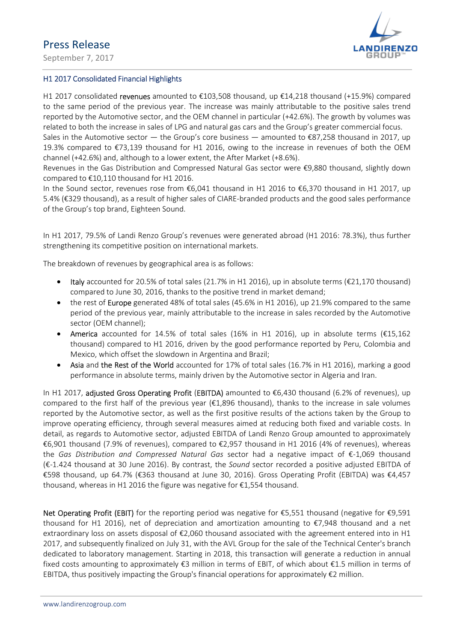September 7, 2017



### H1 2017 Consolidated Financial Highlights

H1 2017 consolidated revenues amounted to €103,508 thousand, up €14,218 thousand (+15.9%) compared to the same period of the previous year. The increase was mainly attributable to the positive sales trend reported by the Automotive sector, and the OEM channel in particular (+42.6%). The growth by volumes was related to both the increase in sales of LPG and natural gas cars and the Group's greater commercial focus.

Sales in the Automotive sector — the Group's core business — amounted to  $\epsilon$ 87,258 thousand in 2017, up 19.3% compared to €73,139 thousand for H1 2016, owing to the increase in revenues of both the OEM channel (+42.6%) and, although to a lower extent, the After Market (+8.6%).

Revenues in the Gas Distribution and Compressed Natural Gas sector were €9,880 thousand, slightly down compared to €10,110 thousand for H1 2016.

In the Sound sector, revenues rose from €6,041 thousand in H1 2016 to €6,370 thousand in H1 2017, up 5.4% (€329 thousand), as a result of higher sales of CIARE-branded products and the good sales performance of the Group's top brand, Eighteen Sound.

In H1 2017, 79.5% of Landi Renzo Group's revenues were generated abroad (H1 2016: 78.3%), thus further strengthening its competitive position on international markets.

The breakdown of revenues by geographical area is as follows:

- $\bullet$  Italy accounted for 20.5% of total sales (21.7% in H1 2016), up in absolute terms (€21.170 thousand) compared to June 30, 2016, thanks to the positive trend in market demand;
- the rest of **Europe** generated 48% of total sales (45.6% in H1 2016), up 21.9% compared to the same period of the previous year, mainly attributable to the increase in sales recorded by the Automotive sector (OEM channel);
- America accounted for 14.5% of total sales (16% in H1 2016), up in absolute terms (€15,162 thousand) compared to H1 2016, driven by the good performance reported by Peru, Colombia and Mexico, which offset the slowdown in Argentina and Brazil;
- Asia and the Rest of the World accounted for 17% of total sales (16.7% in H1 2016), marking a good performance in absolute terms, mainly driven by the Automotive sector in Algeria and Iran.

In H1 2017, adjusted Gross Operating Profit (EBITDA) amounted to €6,430 thousand (6.2% of revenues), up compared to the first half of the previous year (€1,896 thousand), thanks to the increase in sale volumes reported by the Automotive sector, as well as the first positive results of the actions taken by the Group to improve operating efficiency, through several measures aimed at reducing both fixed and variable costs. In detail, as regards to Automotive sector, adjusted EBITDA of Landi Renzo Group amounted to approximately €6,901 thousand (7.9% of revenues), compared to €2,957 thousand in H1 2016 (4% of revenues), whereas the Gas Distribution and Compressed Natural Gas sector had a negative impact of €-1,069 thousand (€-1.424 thousand at 30 June 2016). By contrast, the Sound sector recorded a positive adjusted EBITDA of €598 thousand, up 64.7% (€363 thousand at June 30, 2016). Gross Operating Profit (EBITDA) was €4,457 thousand, whereas in H1 2016 the figure was negative for €1,554 thousand.

Net Operating Profit (EBIT) for the reporting period was negative for €5,551 thousand (negative for €9,591 thousand for H1 2016), net of depreciation and amortization amounting to €7,948 thousand and a net extraordinary loss on assets disposal of €2,060 thousand associated with the agreement entered into in H1 2017, and subsequently finalized on July 31, with the AVL Group for the sale of the Technical Center's branch dedicated to laboratory management. Starting in 2018, this transaction will generate a reduction in annual fixed costs amounting to approximately  $\epsilon$ 3 million in terms of EBIT, of which about  $\epsilon$ 1.5 million in terms of EBITDA, thus positively impacting the Group's financial operations for approximately  $\epsilon$ 2 million.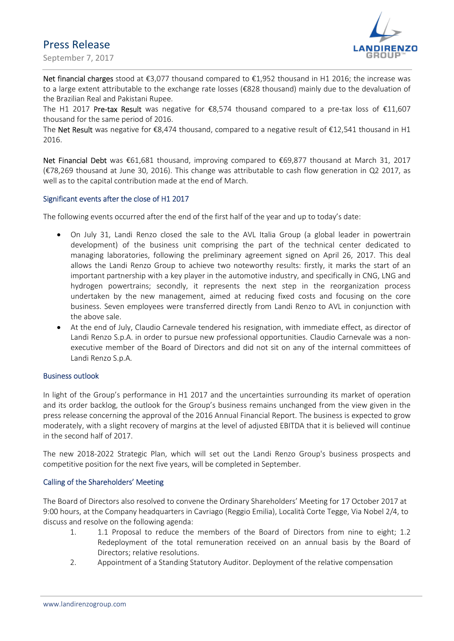



Net financial charges stood at €3,077 thousand compared to €1,952 thousand in H1 2016; the increase was to a large extent attributable to the exchange rate losses (€828 thousand) mainly due to the devaluation of the Brazilian Real and Pakistani Rupee.

The H1 2017 Pre-tax Result was negative for  $\epsilon$ 8,574 thousand compared to a pre-tax loss of  $\epsilon$ 11,607 thousand for the same period of 2016.

The Net Result was negative for  $\epsilon$ 8,474 thousand, compared to a negative result of  $\epsilon$ 12,541 thousand in H1 2016.

Net Financial Debt was €61,681 thousand, improving compared to €69,877 thousand at March 31, 2017 (€78,269 thousand at June 30, 2016). This change was attributable to cash flow generation in Q2 2017, as well as to the capital contribution made at the end of March.

### Significant events after the close of H1 2017

The following events occurred after the end of the first half of the year and up to today's date:

- On July 31, Landi Renzo closed the sale to the AVL Italia Group (a global leader in powertrain development) of the business unit comprising the part of the technical center dedicated to managing laboratories, following the preliminary agreement signed on April 26, 2017. This deal allows the Landi Renzo Group to achieve two noteworthy results: firstly, it marks the start of an important partnership with a key player in the automotive industry, and specifically in CNG, LNG and hydrogen powertrains; secondly, it represents the next step in the reorganization process undertaken by the new management, aimed at reducing fixed costs and focusing on the core business. Seven employees were transferred directly from Landi Renzo to AVL in conjunction with the above sale.
- At the end of July, Claudio Carnevale tendered his resignation, with immediate effect, as director of Landi Renzo S.p.A. in order to pursue new professional opportunities. Claudio Carnevale was a nonexecutive member of the Board of Directors and did not sit on any of the internal committees of Landi Renzo S.p.A.

### Business outlook

In light of the Group's performance in H1 2017 and the uncertainties surrounding its market of operation and its order backlog, the outlook for the Group's business remains unchanged from the view given in the press release concerning the approval of the 2016 Annual Financial Report. The business is expected to grow moderately, with a slight recovery of margins at the level of adjusted EBITDA that it is believed will continue in the second half of 2017.

The new 2018-2022 Strategic Plan, which will set out the Landi Renzo Group's business prospects and competitive position for the next five years, will be completed in September.

### Calling of the Shareholders' Meeting

The Board of Directors also resolved to convene the Ordinary Shareholders' Meeting for 17 October 2017 at 9:00 hours, at the Company headquarters in Cavriago (Reggio Emilia), Località Corte Tegge, Via Nobel 2/4, to discuss and resolve on the following agenda:

- 1. 1.1 Proposal to reduce the members of the Board of Directors from nine to eight; 1.2 Redeployment of the total remuneration received on an annual basis by the Board of Directors; relative resolutions.
- 2. Appointment of a Standing Statutory Auditor. Deployment of the relative compensation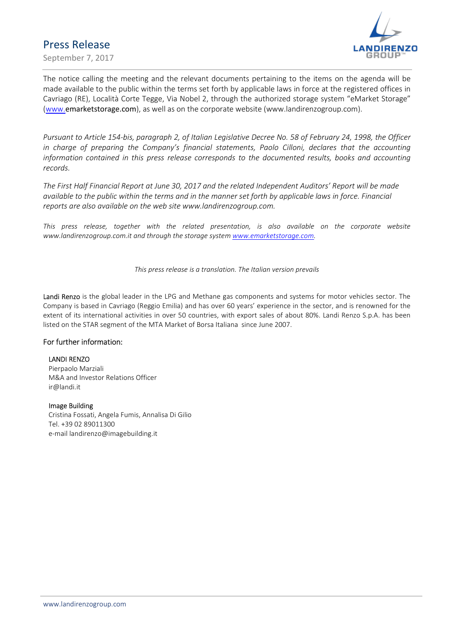September 7, 2017



The notice calling the meeting and the relevant documents pertaining to the items on the agenda will be made available to the public within the terms set forth by applicable laws in force at the registered offices in Cavriago (RE), Località Corte Tegge, Via Nobel 2, through the authorized storage system "eMarket Storage" (www.emarketstorage.com), as well as on the corporate website (www.landirenzogroup.com).

Pursuant to Article 154-bis, paragraph 2, of Italian Legislative Decree No. 58 of February 24, 1998, the Officer in charge of preparing the Company's financial statements, Paolo Cilloni, declares that the accounting information contained in this press release corresponds to the documented results, books and accounting records.

The First Half Financial Report at June 30, 2017 and the related Independent Auditors' Report will be made available to the public within the terms and in the manner set forth by applicable laws in force. Financial reports are also available on the web site www.landirenzogroup.com.

This press release, together with the related presentation, is also available on the corporate website www.landirenzogroup.com.it and through the storage system www.emarketstorage.com.

This press release is a translation. The Italian version prevails

Landi Renzo is the global leader in the LPG and Methane gas components and systems for motor vehicles sector. The Company is based in Cavriago (Reggio Emilia) and has over 60 years' experience in the sector, and is renowned for the extent of its international activities in over 50 countries, with export sales of about 80%. Landi Renzo S.p.A. has been listed on the STAR segment of the MTA Market of Borsa Italiana since June 2007.

### For further information:

#### LANDI RENZO

Pierpaolo Marziali M&A and Investor Relations Officer ir@landi.it

#### Image Building

Cristina Fossati, Angela Fumis, Annalisa Di Gilio Tel. +39 02 89011300 e-mail landirenzo@imagebuilding.it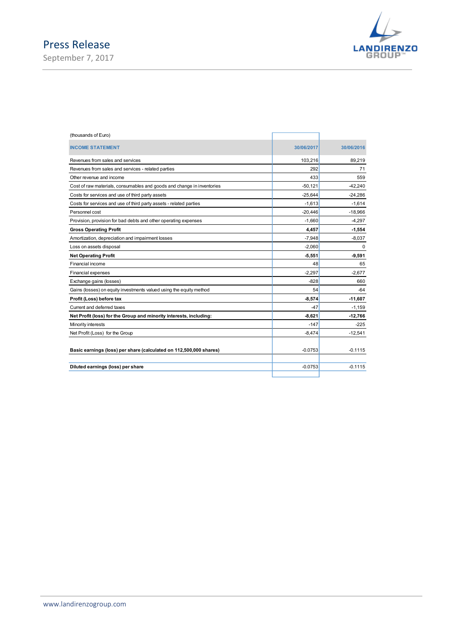September 7, 2017



| (thousands of Euro)                                                    |            |            |
|------------------------------------------------------------------------|------------|------------|
| <b>INCOME STATEMENT</b>                                                | 30/06/2017 | 30/06/2016 |
| Revenues from sales and services                                       | 103,216    | 89,219     |
| Revenues from sales and services - related parties                     | 292        | 71         |
| Other revenue and income                                               | 433        | 559        |
| Cost of raw materials, consumables and goods and change in inventories | $-50,121$  | $-42,240$  |
| Costs for services and use of third party assets                       | $-25,644$  | $-24,286$  |
| Costs for services and use of third party assets - related parties     | $-1,613$   | $-1,614$   |
| Personnel cost                                                         | $-20,446$  | $-18,966$  |
| Provision, provision for bad debts and other operating expenses        | $-1,660$   | $-4,297$   |
| <b>Gross Operating Profit</b>                                          | 4,457      | $-1,554$   |
| Amortization, depreciation and impairment losses                       | $-7,948$   | $-8,037$   |
| Loss on assets disposal                                                | $-2,060$   | $\Omega$   |
| <b>Net Operating Profit</b>                                            | $-5,551$   | $-9,591$   |
| Financial income                                                       | 48         | 65         |
| <b>Financial expenses</b>                                              | $-2,297$   | $-2,677$   |
| Exchange gains (losses)                                                | $-828$     | 660        |
| Gains (losses) on equity investments valued using the equity method    | 54         | $-64$      |
| Profit (Loss) before tax                                               | $-8,574$   | $-11,607$  |
| Current and deferred taxes                                             | $-47$      | $-1,159$   |
| Net Profit (loss) for the Group and minority interests, including:     | $-8,621$   | $-12,766$  |
| Minority interests                                                     | $-147$     | -225       |
| Net Profit (Loss) for the Group                                        | $-8,474$   | $-12,541$  |
| Basic earnings (loss) per share (calculated on 112,500,000 shares)     | $-0.0753$  | $-0.1115$  |
| Diluted earnings (loss) per share                                      | $-0.0753$  | $-0.1115$  |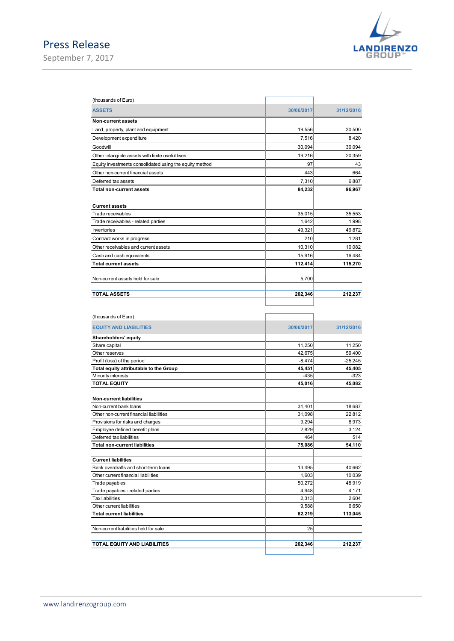## Press Release September 7, 2017



| ease                                                                        |                  | <b>LANDIRENZO</b> |
|-----------------------------------------------------------------------------|------------------|-------------------|
|                                                                             |                  |                   |
| 7,2017                                                                      |                  |                   |
|                                                                             |                  |                   |
|                                                                             |                  |                   |
|                                                                             |                  |                   |
| (thousands of Euro)                                                         |                  |                   |
| <b>ASSETS</b>                                                               | 30/06/2017       | 31/12/2016        |
|                                                                             |                  |                   |
| Non-current assets<br>Land, property, plant and equipment                   | 19,556           | 30,500            |
| Development expenditure                                                     | 7,516            | 8,420             |
| Goodwill                                                                    | 30,094           | 30,094            |
| Other intangible assets with finite useful lives                            | 19,216           | 20,359            |
| Equity investments consolidated using the equity method                     | 97               | 43                |
| Other non-current financial assets                                          | 443              | 664               |
| Deferred tax assets                                                         | 7,310            | 6,887             |
| Total non-current assets                                                    | 84,232           | 96,967            |
|                                                                             |                  |                   |
| <b>Current assets</b>                                                       |                  |                   |
| Trade receivables                                                           | 35,015<br>1,642  | 35,553<br>1,998   |
| Trade receivables - related parties<br>Inventories                          | 49,321           | 49,872            |
| Contract works in progress                                                  | 210              | 1,281             |
| Other receivables and current assets                                        | 10,310           | 10,082            |
| Cash and cash equivalents                                                   | 15,916           | 16,484            |
| <b>Total current assets</b>                                                 | 112,414          | 115,270           |
|                                                                             |                  |                   |
| Non-current assets held for sale                                            | 5,700            |                   |
| <b>TOTAL ASSETS</b>                                                         | 202,346          | 212,237           |
|                                                                             |                  |                   |
|                                                                             |                  |                   |
| (thousands of Euro)                                                         |                  |                   |
| <b>EQUITY AND LIABILITIES</b>                                               | 30/06/2017       | 31/12/2016        |
| Shareholders' equity                                                        |                  |                   |
| Share capital                                                               | 11,250           | 11,250            |
| Other reserves                                                              | 42,675           | 59,400            |
| Profit (loss) of the period                                                 | $-8,474$         | $-25,245$         |
| Total equity attributable to the Group<br>Minority interests                | 45,451<br>$-435$ | 45,405<br>$-323$  |
| <b>TOTAL EQUITY</b>                                                         | 45,016           | 45,082            |
|                                                                             |                  |                   |
| Non-current liabilities                                                     |                  |                   |
| Non-current bank loans                                                      | 31,401           | 18,687            |
| Other non-current financial liabilities<br>Provisions for risks and charges | 31,098<br>9,294  | 22,812<br>8,973   |
|                                                                             |                  |                   |

| <b>Total non-current assets</b>         | 84,232     | 96,967     |
|-----------------------------------------|------------|------------|
|                                         |            |            |
| <b>Current assets</b>                   |            |            |
| Trade receivables                       | 35,015     | 35,553     |
| Trade receivables - related parties     | 1,642      | 1,998      |
| Inventories                             | 49,321     | 49,872     |
| Contract works in progress              | 210        | 1,281      |
| Other receivables and current assets    | 10,310     | 10,082     |
| Cash and cash equivalents               | 15,916     | 16,484     |
| <b>Total current assets</b>             | 112,414    | 115,270    |
|                                         |            |            |
| Non-current assets held for sale        | 5,700      |            |
|                                         |            |            |
| <b>TOTAL ASSETS</b>                     | 202,346    | 212,237    |
|                                         |            |            |
|                                         |            |            |
| (thousands of Euro)                     |            |            |
|                                         |            |            |
| <b>EQUITY AND LIABILITIES</b>           | 30/06/2017 | 31/12/2016 |
| Shareholders' equity                    |            |            |
| Share capital                           | 11,250     | 11,250     |
| Other reserves                          | 42,675     | 59,400     |
| Profit (loss) of the period             | $-8,474$   | $-25,245$  |
| Total equity attributable to the Group  | 45,451     | 45,405     |
| Minority interests                      | $-435$     | $-323$     |
| <b>TOTAL EQUITY</b>                     | 45,016     | 45,082     |
|                                         |            |            |
| <b>Non-current liabilities</b>          |            |            |
| Non-current bank loans                  | 31,401     | 18,687     |
| Other non-current financial liabilities | 31,098     | 22,812     |
| Provisions for risks and charges        | 9,294      | 8,973      |
| Employee defined benefit plans          | 2,829      | 3,124      |
| Deferred tax liabilities                | 464        | 514        |
| <b>Total non-current liabilities</b>    | 75,086     | 54,110     |
|                                         |            |            |
| <b>Current liabilities</b>              |            |            |
| Bank overdrafts and short-term loans    | 13,495     | 40,662     |
| Other current financial liabilities     | 1,603      | 10,039     |
| Trade payables                          | 50,272     | 48,919     |
| Trade payables - related parties        | 4,948      | 4,171      |
| <b>Tax liabilities</b>                  | 2,313      | 2,604      |
| Other current liabilities               | 9,588      | 6,650      |
| <b>Total current liabilities</b>        | 82,219     | 113,045    |
|                                         |            |            |
| Non-current liabilities held for sale   | 25         |            |
|                                         |            |            |
| TOTAL EQUITY AND LIABILITIES            | 202,346    | 212,237    |
|                                         |            |            |
|                                         |            |            |
|                                         |            |            |
|                                         |            |            |
|                                         |            |            |
|                                         |            |            |